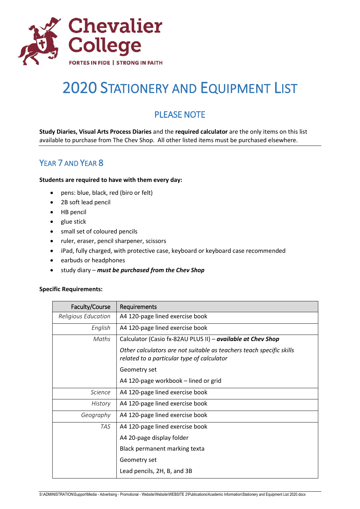

# 2020 STATIONERY AND EQUIPMENT LIST

## PLEASE NOTE

**Study Diaries, Visual Arts Process Diaries** and the **required calculator** are the only items on this list available to purchase from The Chev Shop. All other listed items must be purchased elsewhere.

## YEAR 7 AND YEAR 8

#### **Students are required to have with them every day:**

- pens: blue, black, red (biro or felt)
- 2B soft lead pencil
- HB pencil
- glue stick
- small set of coloured pencils
- ruler, eraser, pencil sharpener, scissors
- iPad, fully charged, with protective case, keyboard or keyboard case recommended
- earbuds or headphones
- study diary *must be purchased from the Chev Shop*

#### **Specific Requirements:**

| Faculty/Course      | Requirements                                                                                                       |  |
|---------------------|--------------------------------------------------------------------------------------------------------------------|--|
| Religious Education | A4 120-page lined exercise book                                                                                    |  |
| English             | A4 120-page lined exercise book                                                                                    |  |
| Maths               | Calculator (Casio fx-82AU PLUS II) - available at Chev Shop                                                        |  |
|                     | Other calculators are not suitable as teachers teach specific skills<br>related to a particular type of calculator |  |
|                     | Geometry set                                                                                                       |  |
|                     | A4 120-page workbook – lined or grid                                                                               |  |
| <i>Science</i>      | A4 120-page lined exercise book                                                                                    |  |
| History             | A4 120-page lined exercise book                                                                                    |  |
| Geography           | A4 120-page lined exercise book                                                                                    |  |
| TAS                 | A4 120-page lined exercise book                                                                                    |  |
|                     | A4 20-page display folder                                                                                          |  |
|                     | Black permanent marking texta                                                                                      |  |
|                     | Geometry set                                                                                                       |  |
|                     | Lead pencils, 2H, B, and 3B                                                                                        |  |